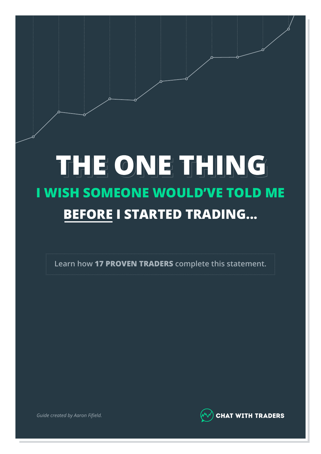# THE ONE THING **I WISH SOMEONE WOULD'VE TOLD ME BEFORE I STARTED TRADING...**

**Learn how 17 PROVEN TRADERS complete this statement.**



*Guide created by Aaron Fifield.*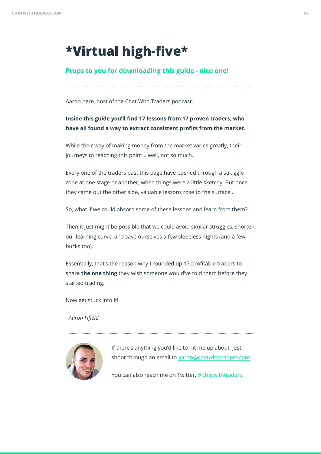$\overline{a}$ 

# **\*Virtual high-five\***

### **Props to you for downloading this guide - nice one!**

Aaron here, host of the Chat With Traders podcast.

### **Inside this guide you'll find 17 lessons from 17 proven traders, who have all found a way to extract consistent profits from the market.**

While their way of making money from the market varies greatly, their journeys to reaching this point... well, not so much.

Every one of the traders past this page have pushed through a struggle zone at one stage or another, when things were a little sketchy. But once they came out the other side, valuable lessons rose to the surface...

So, what if we could absorb some of these lessons and learn from them?

Then it just might be possible that we could avoid similar struggles, shorten our learning curve, and save ourselves a few sleepless nights (and a few bucks too).

Essentially, that's the reason why I rounded up 17 profitable traders to share **the one thing** they wish someone would've told them before they started trading.

Now get stuck into it!

*- Aaron Fifield*

 $\overline{a}$ 



If there's anything you'd like to hit me up about, just shoot through an email to aaron@chatwithtraders.com.

You can also reach me on Twitter, @chatwithtraders.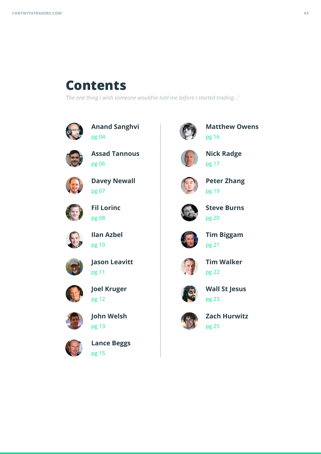# **Contents**

*'The one thing I wish someone would've told me before I started trading...'*



**Anand Sanghvi** pg 04



**Assad Tannous** pg 06



**Davey Newall** pg 07



**Fil Lorinc** pg 08



**Ilan Azbel** pg 10



**Jason Leavitt** pg 11



**Joel Kruger** pg 12



**John Welsh** pg 13



**Lance Beggs** pg 15



**Matthew Owens** pg 16



**Nick Radge** pg 17



**Peter Zhang** pg 19



**Steve Burns** pg 20



**Tim Biggam** pg 21



**Tim Walker** pg 22



**Wall St Jesus** pg 23



**Zach Hurwitz** pg 25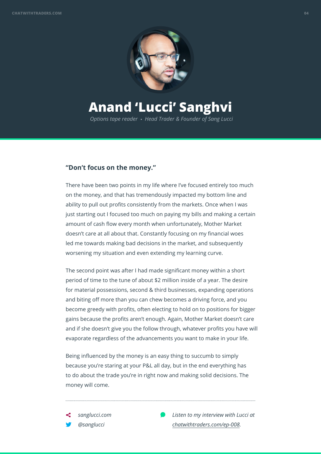

## **Anand 'Lucci' Sanghvi**

*Options tape reader* • *Head Trader & Founder of Sang Lucci*

#### **"Don't focus on the money."**

There have been two points in my life where I've focused entirely too much on the money, and that has tremendously impacted my bottom line and ability to pull out profits consistently from the markets. Once when I was just starting out I focused too much on paying my bills and making a certain amount of cash flow every month when unfortunately, Mother Market doesn't care at all about that. Constantly focusing on my financial woes led me towards making bad decisions in the market, and subsequently worsening my situation and even extending my learning curve.

The second point was after I had made significant money within a short period of time to the tune of about \$2 million inside of a year. The desire for material possessions, second & third businesses, expanding operations and biting off more than you can chew becomes a driving force, and you become greedy with profits, often electing to hold on to positions for bigger gains because the profits aren't enough. Again, Mother Market doesn't care and if she doesn't give you the follow through, whatever profits you have will evaporate regardless of the advancements you want to make in your life.

Being influenced by the money is an easy thing to succumb to simply because you're staring at your P&L all day, but in the end everything has to do about the trade you're in right now and making solid decisions. The money will come.

*sanglucci.com @sanglucci*

 $\overline{a}$ 

*Listen to my interview with Lucci at chatwithtraders.com/ep-008.*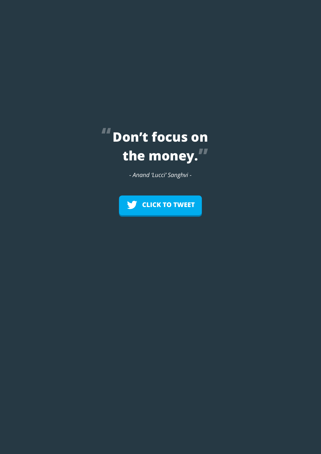

*- Anand 'Lucci' Sanghvi -*

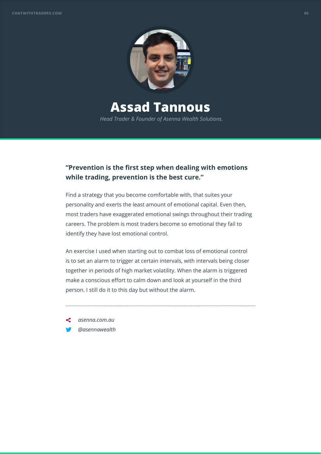

## **Assad Tannous**

*Head Trader & Founder of Asenna Wealth Solutions.*

### **"Prevention is the first step when dealing with emotions while trading, prevention is the best cure."**

Find a strategy that you become comfortable with, that suites your personality and exerts the least amount of emotional capital. Even then, most traders have exaggerated emotional swings throughout their trading careers. The problem is most traders become so emotional they fail to identify they have lost emotional control.

An exercise I used when starting out to combat loss of emotional control is to set an alarm to trigger at certain intervals, with intervals being closer together in periods of high market volatility. When the alarm is triggered make a conscious effort to calm down and look at yourself in the third person. I still do it to this day but without the alarm.

*asenna.com.au @asennawealth*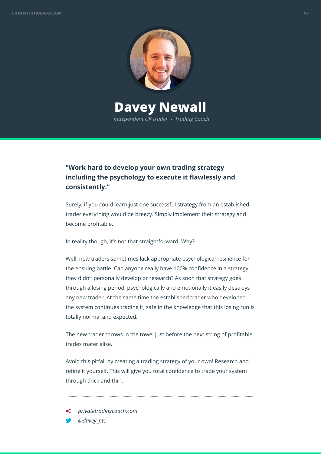

### **Davey Newall** *Independent UK trader* • *Trading Coach*

### **"Work hard to develop your own trading strategy including the psychology to execute it flawlessly and consistently."**

Surely, if you could learn just one successful strategy from an established trader everything would be breezy. Simply implement their strategy and become profitable.

In reality though, it's not that straightforward. Why?

Well, new traders sometimes lack appropriate psychological resilience for the ensuing battle. Can anyone really have 100% confidence in a strategy they didn't personally develop or research? As soon that strategy goes through a losing period, psychologically and emotionally it easily destroys any new trader. At the same time the established trader who developed the system continues trading it, safe in the knowledge that this losing run is totally normal and expected.

The new trader throws in the towel just before the next string of profitable trades materialise.

Avoid this pitfall by creating a trading strategy of your own! Research and refine it yourself. This will give you total confidence to trade your system through thick and thin.

*privatetradingcoach.com @davey\_ptc*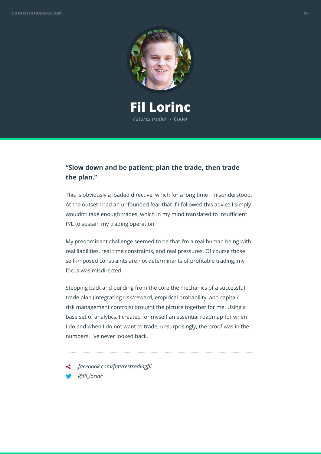

**Fil Lorinc** *Futures trader* • *Coder*

### **"Slow down and be patient; plan the trade, then trade the plan."**

This is obviously a loaded directive, which for a long time I misunderstood. At the outset I had an unfounded fear that if I followed this advice I simply wouldn't take enough trades, which in my mind translated to insufficient P/L to sustain my trading operation.

My predominant challenge seemed to be that I'm a real human being with real liabilities, real time constraints, and real pressures. Of course those self-imposed constraints are not determinants of profitable trading; my focus was misdirected.

Stepping back and building from the core the mechanics of a successful trade plan (integrating risk/reward, empirical probability, and capital/ risk management controls) brought the picture together for me. Using a base set of analytics, I created for myself an essential roadmap for when I do and when I do not want to trade; unsurprisingly, the proof was in the numbers. I've never looked back.

*facebook.com/futurestradingfil @fil\_lorinc*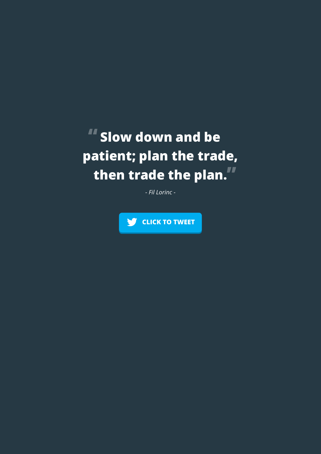# **Slow down and be patient; plan the trade, then trade the plan.**

*- Fil Lorinc -*

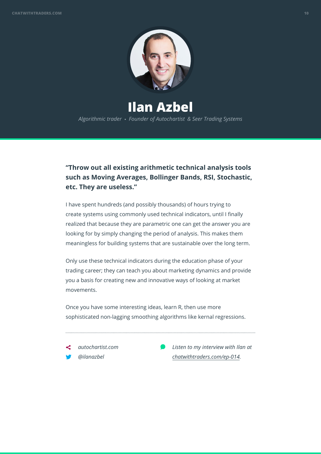

**Ilan Azbel** *Algorithmic trader* • *Founder of Autochartist & Seer Trading Systems*

### **"Throw out all existing arithmetic technical analysis tools such as Moving Averages, Bollinger Bands, RSI, Stochastic, etc. They are useless."**

I have spent hundreds (and possibly thousands) of hours trying to create systems using commonly used technical indicators, until I finally realized that because they are parametric one can get the answer you are looking for by simply changing the period of analysis. This makes them meaningless for building systems that are sustainable over the long term.

Only use these technical indicators during the education phase of your trading career; they can teach you about marketing dynamics and provide you a basis for creating new and innovative ways of looking at market movements.

Once you have some interesting ideas, learn R, then use more sophisticated non-lagging smoothing algorithms like kernal regressions.

*autochartist.com @ilanazbel*

 $\overline{a}$ 

*Listen to my interview with Ilan at chatwithtraders.com/ep-014.*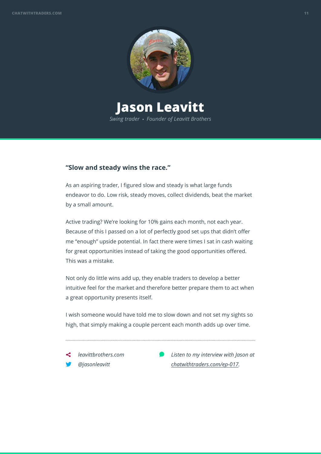

# **Jason Leavitt**

*Swing trader* • *Founder of Leavitt Brothers*

#### **"Slow and steady wins the race."**

As an aspiring trader, I figured slow and steady is what large funds endeavor to do. Low risk, steady moves, collect dividends, beat the market by a small amount.

Active trading? We're looking for 10% gains each month, not each year. Because of this I passed on a lot of perfectly good set ups that didn't offer me "enough" upside potential. In fact there were times I sat in cash waiting for great opportunities instead of taking the good opportunities offered. This was a mistake.

Not only do little wins add up, they enable traders to develop a better intuitive feel for the market and therefore better prepare them to act when a great opportunity presents itself.

I wish someone would have told me to slow down and not set my sights so high, that simply making a couple percent each month adds up over time.

*leavittbrothers.com @jasonleavitt*

 $\overline{a}$ 

*Listen to my interview with Jason at chatwithtraders.com/ep-017.*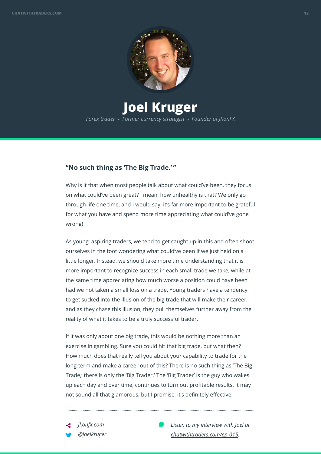

### **Joel Kruger** *Forex trader* • *Former currency strategist* • *Founder of JKonFX*

### **"No such thing as 'The Big Trade.' "**

Why is it that when most people talk about what could've been, they focus on what could've been great? I mean, how unhealthy is that? We only go through life one time, and I would say, it's far more important to be grateful for what you have and spend more time appreciating what could've gone wrong!

As young, aspiring traders, we tend to get caught up in this and often shoot ourselves in the foot wondering what could've been if we just held on a little longer. Instead, we should take more time understanding that it is more important to recognize success in each small trade we take, while at the same time appreciating how much worse a position could have been had we not taken a small loss on a trade. Young traders have a tendency to get sucked into the illusion of the big trade that will make their career, and as they chase this illusion, they pull themselves further away from the reality of what it takes to be a truly successful trader.

If it was only about one big trade, this would be nothing more than an exercise in gambling. Sure you could hit that big trade, but what then? How much does that really tell you about your capability to trade for the long-term and make a career out of this? There is no such thing as 'The Big Trade,' there is only the 'Big Trader.' The 'Big Trader' is the guy who wakes up each day and over time, continues to turn out profitable results. It may not sound all that glamorous, but I promise, it's definitely effective.

*Listen to my interview with Joel at chatwithtraders.com/ep-015.*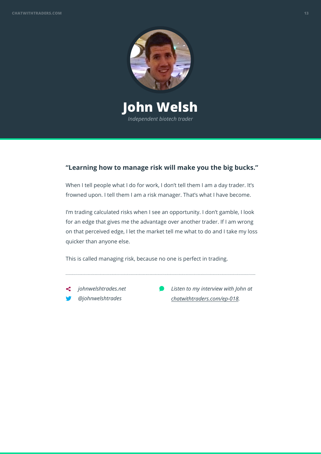

**John Welsh** *Independent biotech trader*

### **"Learning how to manage risk will make you the big bucks."**

When I tell people what I do for work, I don't tell them I am a day trader. It's frowned upon. I tell them I am a risk manager. That's what I have become.

I'm trading calculated risks when I see an opportunity. I don't gamble, I look for an edge that gives me the advantage over another trader. If I am wrong on that perceived edge, I let the market tell me what to do and I take my loss quicker than anyone else.

This is called managing risk, because no one is perfect in trading.

- *johnwelshtrades.net @johnwelshtrades*
- *Listen to my interview with John at chatwithtraders.com/ep-018.*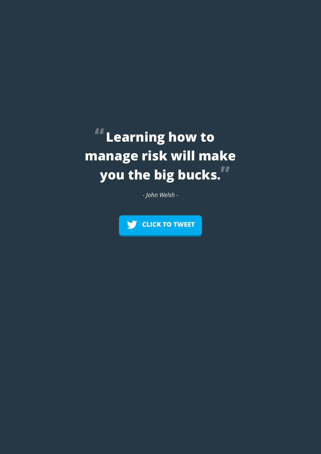# **Learning how to manage risk will make you the big bucks.**

*- John Welsh -*

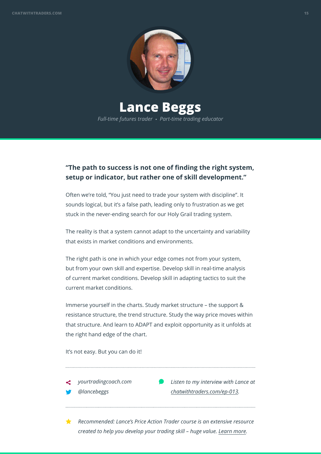

**Lance Beggs** *Full-time futures trader* • *Part-time trading educator*

### **"The path to success is not one of finding the right system, setup or indicator, but rather one of skill development."**

Often we're told, "You just need to trade your system with discipline". It sounds logical, but it's a false path, leading only to frustration as we get stuck in the never-ending search for our Holy Grail trading system.

The reality is that a system cannot adapt to the uncertainty and variability that exists in market conditions and environments.

The right path is one in which your edge comes not from your system, but from your own skill and expertise. Develop skill in real-time analysis of current market conditions. Develop skill in adapting tactics to suit the current market conditions.

Immerse yourself in the charts. Study market structure – the support & resistance structure, the trend structure. Study the way price moves within that structure. And learn to ADAPT and exploit opportunity as it unfolds at the right hand edge of the chart.

It's not easy. But you can do it!

*yourtradingcoach.com @lancebeggs*

 $\overline{a}$ 

 $\overline{a}$ 

*Listen to my interview with Lance at chatwithtraders.com/ep-013.*

*Recommended: Lance's Price Action Trader course is an extensive resource created to help you develop your trading skill – huge value. Learn more.*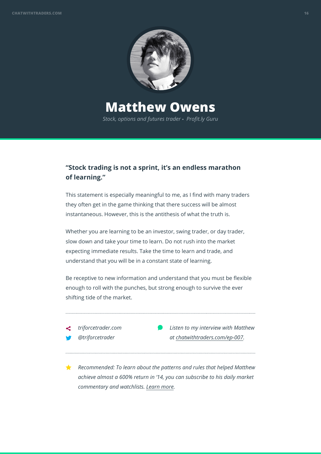

## **Matthew Owens**

*Stock, options and futures trader* • *Profit.ly Guru*

### **"Stock trading is not a sprint, it's an endless marathon of learning."**

This statement is especially meaningful to me, as I find with many traders they often get in the game thinking that there success will be almost instantaneous. However, this is the antithesis of what the truth is.

Whether you are learning to be an investor, swing trader, or day trader, slow down and take your time to learn. Do not rush into the market expecting immediate results. Take the time to learn and trade, and understand that you will be in a constant state of learning.

Be receptive to new information and understand that you must be flexible enough to roll with the punches, but strong enough to survive the ever shifting tide of the market.



*Recommended: To learn about the patterns and rules that helped Matthew achieve almost a 600% return in '14, you can subscribe to his daily market commentary and watchlists. Learn more.*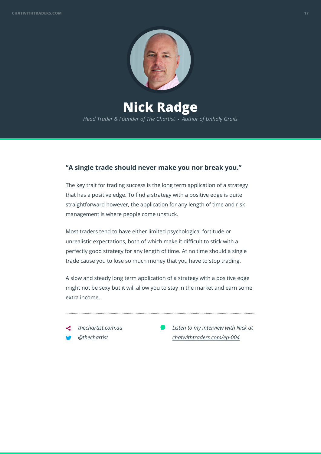

**Nick Radge** *Head Trader & Founder of The Chartist* • *Author of Unholy Grails*

### **"A single trade should never make you nor break you."**

The key trait for trading success is the long term application of a strategy that has a positive edge. To find a strategy with a positive edge is quite straightforward however, the application for any length of time and risk management is where people come unstuck.

Most traders tend to have either limited psychological fortitude or unrealistic expectations, both of which make it difficult to stick with a perfectly good strategy for any length of time. At no time should a single trade cause you to lose so much money that you have to stop trading.

A slow and steady long term application of a strategy with a positive edge might not be sexy but it will allow you to stay in the market and earn some extra income.

*thechartist.com.au @thechartist*

 $\overline{a}$ 

*Listen to my interview with Nick at chatwithtraders.com/ep-004.*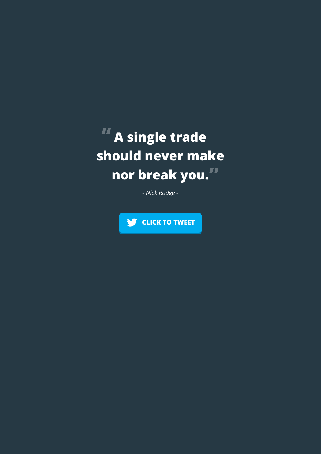# **A single trade should never make nor break you.**

*- Nick Radge -*

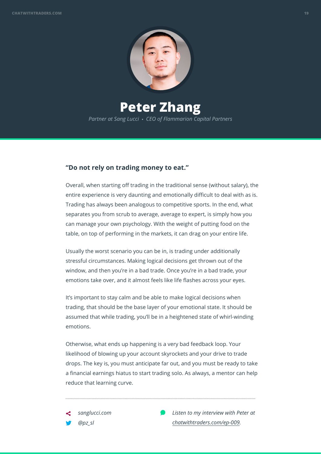

### **Peter Zhang** *Partner at Sang Lucci* • *CEO of Flammarion Capital Partners*

#### **"Do not rely on trading money to eat."**

Overall, when starting off trading in the traditional sense (without salary), the entire experience is very daunting and emotionally difficult to deal with as is. Trading has always been analogous to competitive sports. In the end, what separates you from scrub to average, average to expert, is simply how you can manage your own psychology. With the weight of putting food on the table, on top of performing in the markets, it can drag on your entire life.

Usually the worst scenario you can be in, is trading under additionally stressful circumstances. Making logical decisions get thrown out of the window, and then you're in a bad trade. Once you're in a bad trade, your emotions take over, and it almost feels like life flashes across your eyes.

It's important to stay calm and be able to make logical decisions when trading, that should be the base layer of your emotional state. It should be assumed that while trading, you'll be in a heightened state of whirl-winding emotions.

Otherwise, what ends up happening is a very bad feedback loop. Your likelihood of blowing up your account skyrockets and your drive to trade drops. The key is, you must anticipate far out, and you must be ready to take a financial earnings hiatus to start trading solo. As always, a mentor can help reduce that learning curve.

*sanglucci.com @pz\_sl*

 $\overline{a}$ 

*Listen to my interview with Peter at chatwithtraders.com/ep-009.*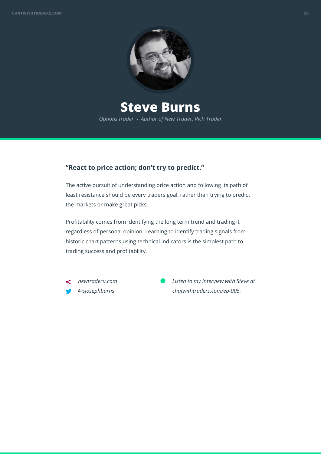

## **Steve Burns**

*Options trader* • *Author of New Trader, Rich Trader*

### **"React to price action; don't try to predict."**

The active pursuit of understanding price action and following its path of least resistance should be every traders goal, rather than trying to predict the markets or make great picks.

Profitability comes from identifying the long term trend and trading it regardless of personal opinion. Learning to identify trading signals from historic chart patterns using technical indicators is the simplest path to trading success and profitability.

*newtraderu.com @sjosephburns*

 $\overline{a}$ 

*Listen to my interview with Steve at chatwithtraders.com/ep-005.*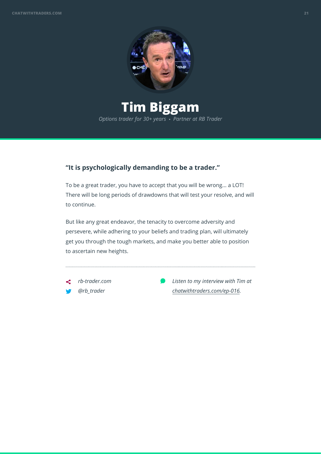

# **Tim Biggam**

*Options trader for 30+ years* • *Partner at RB Trader*

### **"It is psychologically demanding to be a trader."**

To be a great trader, you have to accept that you will be wrong... a LOT! There will be long periods of drawdowns that will test your resolve, and will to continue.

But like any great endeavor, the tenacity to overcome adversity and persevere, while adhering to your beliefs and trading plan, will ultimately get you through the tough markets, and make you better able to position to ascertain new heights.

*rb-trader.com @rb\_trader*

 $\overline{a}$ 

*Listen to my interview with Tim at chatwithtraders.com/ep-016.*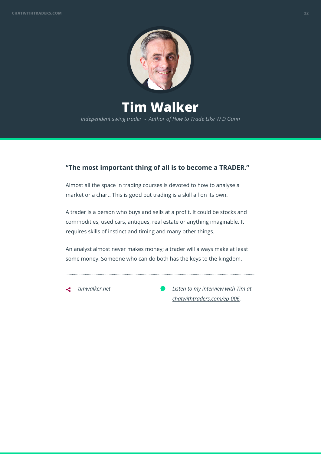

**Tim Walker** *Independent swing trader* • *Author of How to Trade Like W D Gann*

### **"The most important thing of all is to become a TRADER."**

Almost all the space in trading courses is devoted to how to analyse a market or a chart. This is good but trading is a skill all on its own.

A trader is a person who buys and sells at a profit. It could be stocks and commodities, used cars, antiques, real estate or anything imaginable. It requires skills of instinct and timing and many other things.

An analyst almost never makes money; a trader will always make at least some money. Someone who can do both has the keys to the kingdom.

*timwalker.net*

*Listen to my interview with Tim at chatwithtraders.com/ep-006.*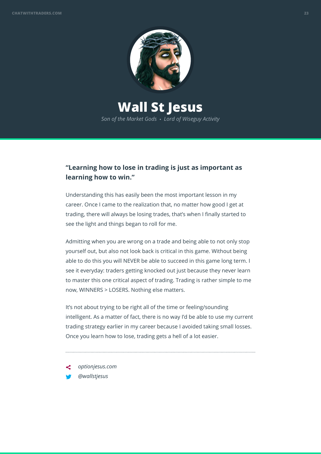

### **Wall St Jesus** *Son of the Market Gods* • *Lord of Wiseguy Activity*

### **"Learning how to lose in trading is just as important as learning how to win."**

Understanding this has easily been the most important lesson in my career. Once I came to the realization that, no matter how good I get at trading, there will always be losing trades, that's when I finally started to see the light and things began to roll for me.

Admitting when you are wrong on a trade and being able to not only stop yourself out, but also not look back is critical in this game. Without being able to do this you will NEVER be able to succeed in this game long term. I see it everyday: traders getting knocked out just because they never learn to master this one critical aspect of trading. Trading is rather simple to me now, WINNERS > LOSERS. Nothing else matters.

It's not about trying to be right all of the time or feeling/sounding intelligent. As a matter of fact, there is no way I'd be able to use my current trading strategy earlier in my career because I avoided taking small losses. Once you learn how to lose, trading gets a hell of a lot easier.

- *optionjesus.com*
- *@wallstjesus*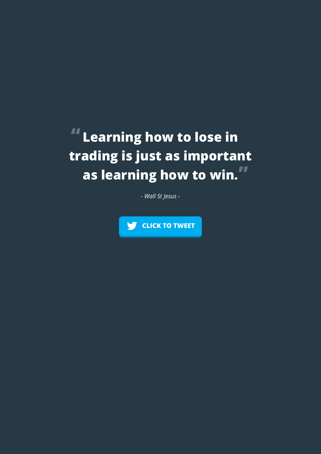## **Learning how to lose in**  n **trading is just as important as learning how to win.**

*- Wall St Jesus -*

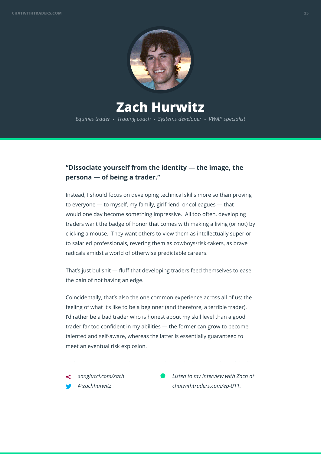

## **Zach Hurwitz**

*Equities trader* • *Trading coach* • *Systems developer* • *VWAP specialist*

### **"Dissociate yourself from the identity — the image, the persona — of being a trader."**

Instead, I should focus on developing technical skills more so than proving to everyone — to myself, my family, girlfriend, or colleagues — that I would one day become something impressive. All too often, developing traders want the badge of honor that comes with making a living (or not) by clicking a mouse. They want others to view them as intellectually superior to salaried professionals, revering them as cowboys/risk-takers, as brave radicals amidst a world of otherwise predictable careers.

That's just bullshit — fluff that developing traders feed themselves to ease the pain of not having an edge.

Coincidentally, that's also the one common experience across all of us: the feeling of what it's like to be a beginner (and therefore, a terrible trader). I'd rather be a bad trader who is honest about my skill level than a good trader far too confident in my abilities — the former can grow to become talented and self-aware, whereas the latter is essentially guaranteed to meet an eventual risk explosion.

*sanglucci.com/zach @zachhurwitz*

 $\overline{a}$ 

*Listen to my interview with Zach at chatwithtraders.com/ep-011.*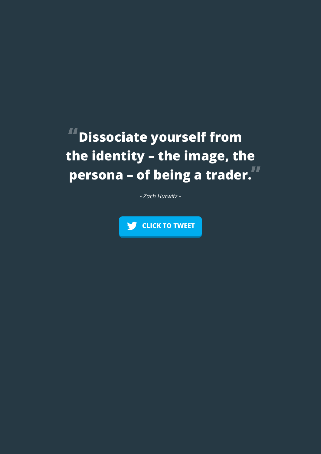# **Dissociate yourself from the identity – the image, the persona – of being a trader.**

*- Zach Hurwitz -*

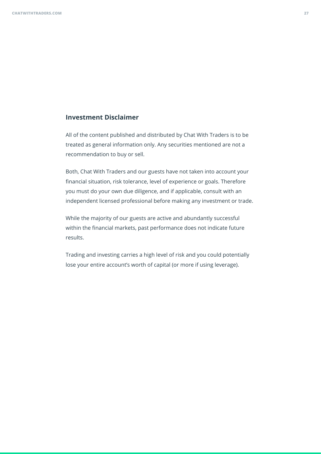#### **Investment Disclaimer**

All of the content published and distributed by Chat With Traders is to be treated as general information only. Any securities mentioned are not a recommendation to buy or sell.

Both, Chat With Traders and our guests have not taken into account your financial situation, risk tolerance, level of experience or goals. Therefore you must do your own due diligence, and if applicable, consult with an independent licensed professional before making any investment or trade.

While the majority of our guests are active and abundantly successful within the financial markets, past performance does not indicate future results.

Trading and investing carries a high level of risk and you could potentially lose your entire account's worth of capital (or more if using leverage).